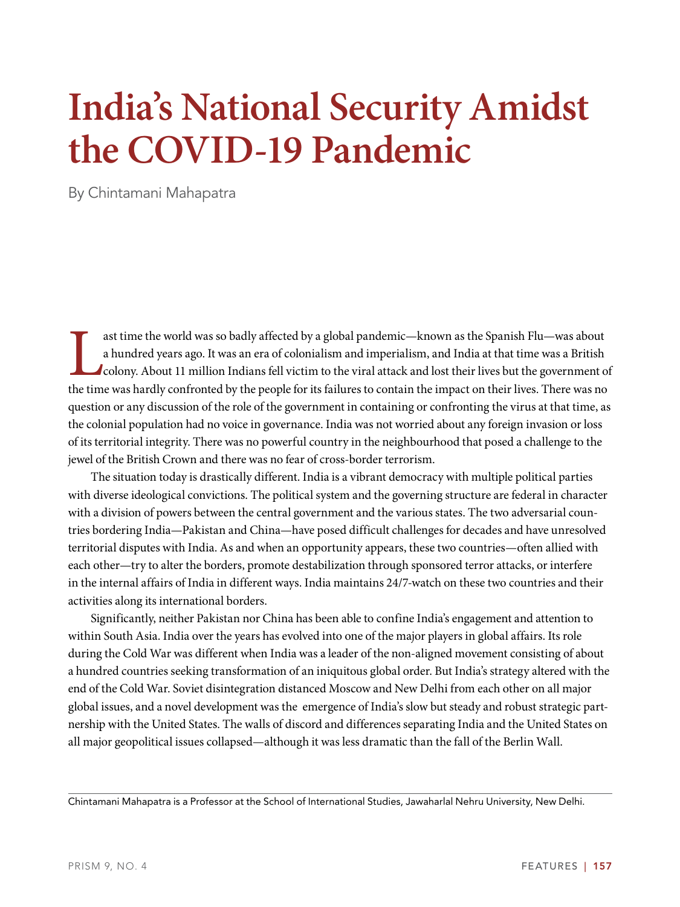# **India's National Security Amidst the COVID-19 Pandemic**

By Chintamani Mahapatra

ast time the world was so badly affected by a global pandemic—known as the Spanish Flu—was about a hundred years ago. It was an era of colonialism and imperialism, and India at that time was a British colony. About 11 mill ast time the world was so badly affected by a global pandemic—known as the Spanish Flu—was about a hundred years ago. It was an era of colonialism and imperialism, and India at that time was a British colony. About 11 million Indians fell victim to the viral attack and lost their lives but the government of question or any discussion of the role of the government in containing or confronting the virus at that time, as the colonial population had no voice in governance. India was not worried about any foreign invasion or loss of its territorial integrity. There was no powerful country in the neighbourhood that posed a challenge to the jewel of the British Crown and there was no fear of cross-border terrorism.

The situation today is drastically different. India is a vibrant democracy with multiple political parties with diverse ideological convictions. The political system and the governing structure are federal in character with a division of powers between the central government and the various states. The two adversarial countries bordering India—Pakistan and China—have posed difficult challenges for decades and have unresolved territorial disputes with India. As and when an opportunity appears, these two countries—often allied with each other—try to alter the borders, promote destabilization through sponsored terror attacks, or interfere in the internal affairs of India in different ways. India maintains 24/7-watch on these two countries and their activities along its international borders.

Significantly, neither Pakistan nor China has been able to confine India's engagement and attention to within South Asia. India over the years has evolved into one of the major players in global affairs. Its role during the Cold War was different when India was a leader of the non-aligned movement consisting of about a hundred countries seeking transformation of an iniquitous global order. But India's strategy altered with the end of the Cold War. Soviet disintegration distanced Moscow and New Delhi from each other on all major global issues, and a novel development was the emergence of India's slow but steady and robust strategic partnership with the United States. The walls of discord and differences separating India and the United States on all major geopolitical issues collapsed—although it was less dramatic than the fall of the Berlin Wall.

Chintamani Mahapatra is a Professor at the School of International Studies, Jawaharlal Nehru University, New Delhi.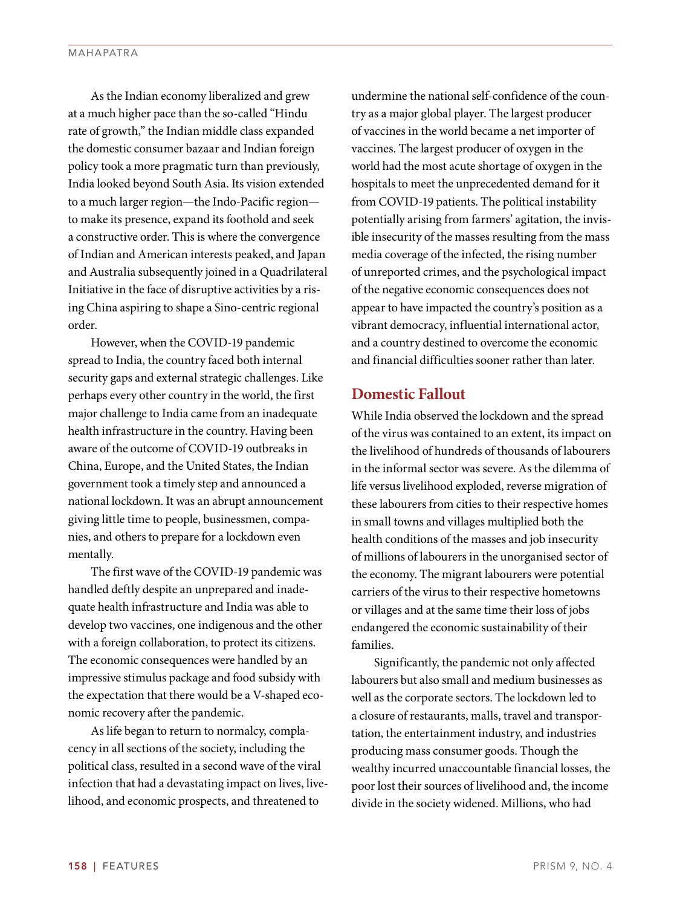As the Indian economy liberalized and grew at a much higher pace than the so-called "Hindu rate of growth," the Indian middle class expanded the domestic consumer bazaar and Indian foreign policy took a more pragmatic turn than previously, India looked beyond South Asia. Its vision extended to a much larger region—the Indo-Pacific region to make its presence, expand its foothold and seek a constructive order. This is where the convergence of Indian and American interests peaked, and Japan and Australia subsequently joined in a Quadrilateral Initiative in the face of disruptive activities by a rising China aspiring to shape a Sino-centric regional order.

However, when the COVID-19 pandemic spread to India, the country faced both internal security gaps and external strategic challenges. Like perhaps every other country in the world, the first major challenge to India came from an inadequate health infrastructure in the country. Having been aware of the outcome of COVID-19 outbreaks in China, Europe, and the United States, the Indian government took a timely step and announced a national lockdown. It was an abrupt announcement giving little time to people, businessmen, companies, and others to prepare for a lockdown even mentally.

The first wave of the COVID-19 pandemic was handled deftly despite an unprepared and inadequate health infrastructure and India was able to develop two vaccines, one indigenous and the other with a foreign collaboration, to protect its citizens. The economic consequences were handled by an impressive stimulus package and food subsidy with the expectation that there would be a V-shaped economic recovery after the pandemic.

As life began to return to normalcy, complacency in all sections of the society, including the political class, resulted in a second wave of the viral infection that had a devastating impact on lives, livelihood, and economic prospects, and threatened to

undermine the national self-confidence of the country as a major global player. The largest producer of vaccines in the world became a net importer of vaccines. The largest producer of oxygen in the world had the most acute shortage of oxygen in the hospitals to meet the unprecedented demand for it from COVID-19 patients. The political instability potentially arising from farmers' agitation, the invisible insecurity of the masses resulting from the mass media coverage of the infected, the rising number of unreported crimes, and the psychological impact of the negative economic consequences does not appear to have impacted the country's position as a vibrant democracy, influential international actor, and a country destined to overcome the economic and financial difficulties sooner rather than later.

# **Domestic Fallout**

While India observed the lockdown and the spread of the virus was contained to an extent, its impact on the livelihood of hundreds of thousands of labourers in the informal sector was severe. As the dilemma of life versus livelihood exploded, reverse migration of these labourers from cities to their respective homes in small towns and villages multiplied both the health conditions of the masses and job insecurity of millions of labourers in the unorganised sector of the economy. The migrant labourers were potential carriers of the virus to their respective hometowns or villages and at the same time their loss of jobs endangered the economic sustainability of their families.

Significantly, the pandemic not only affected labourers but also small and medium businesses as well as the corporate sectors. The lockdown led to a closure of restaurants, malls, travel and transportation, the entertainment industry, and industries producing mass consumer goods. Though the wealthy incurred unaccountable financial losses, the poor lost their sources of livelihood and, the income divide in the society widened. Millions, who had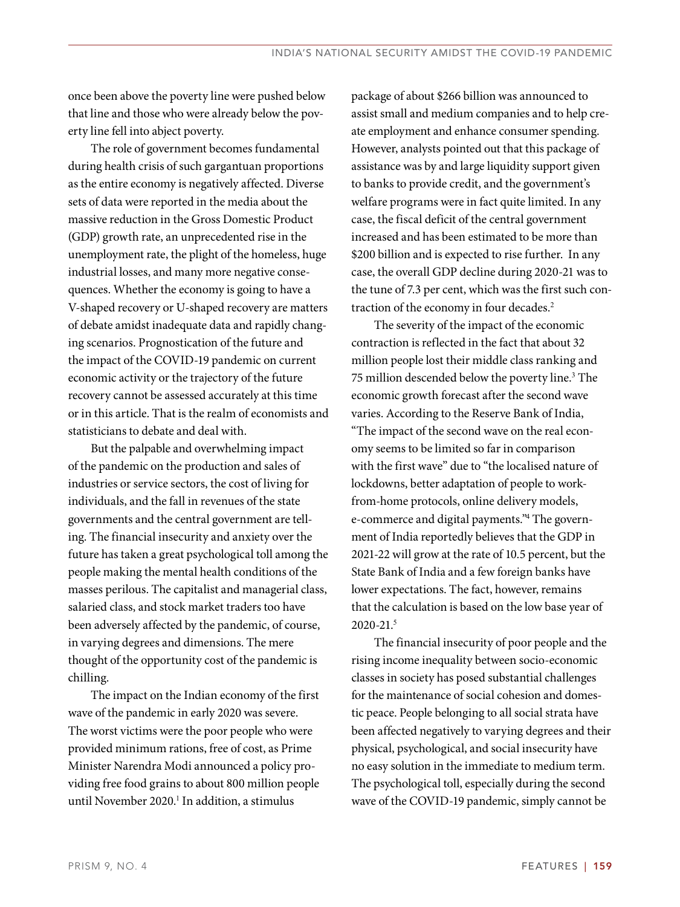once been above the poverty line were pushed below that line and those who were already below the poverty line fell into abject poverty.

The role of government becomes fundamental during health crisis of such gargantuan proportions as the entire economy is negatively affected. Diverse sets of data were reported in the media about the massive reduction in the Gross Domestic Product (GDP) growth rate, an unprecedented rise in the unemployment rate, the plight of the homeless, huge industrial losses, and many more negative consequences. Whether the economy is going to have a V-shaped recovery or U-shaped recovery are matters of debate amidst inadequate data and rapidly changing scenarios. Prognostication of the future and the impact of the COVID-19 pandemic on current economic activity or the trajectory of the future recovery cannot be assessed accurately at this time or in this article. That is the realm of economists and statisticians to debate and deal with.

But the palpable and overwhelming impact of the pandemic on the production and sales of industries or service sectors, the cost of living for individuals, and the fall in revenues of the state governments and the central government are telling. The financial insecurity and anxiety over the future has taken a great psychological toll among the people making the mental health conditions of the masses perilous. The capitalist and managerial class, salaried class, and stock market traders too have been adversely affected by the pandemic, of course, in varying degrees and dimensions. The mere thought of the opportunity cost of the pandemic is chilling.

The impact on the Indian economy of the first wave of the pandemic in early 2020 was severe. The worst victims were the poor people who were provided minimum rations, free of cost, as Prime Minister Narendra Modi announced a policy providing free food grains to about 800 million people until November 2020.<sup>1</sup> In addition, a stimulus

package of about \$266 billion was announced to assist small and medium companies and to help create employment and enhance consumer spending. However, analysts pointed out that this package of assistance was by and large liquidity support given to banks to provide credit, and the government's welfare programs were in fact quite limited. In any case, the fiscal deficit of the central government increased and has been estimated to be more than \$200 billion and is expected to rise further. In any case, the overall GDP decline during 2020-21 was to the tune of 7.3 per cent, which was the first such contraction of the economy in four decades.<sup>2</sup>

The severity of the impact of the economic contraction is reflected in the fact that about 32 million people lost their middle class ranking and 75 million descended below the poverty line.<sup>3</sup> The economic growth forecast after the second wave varies. According to the Reserve Bank of India, "The impact of the second wave on the real economy seems to be limited so far in comparison with the first wave" due to "the localised nature of lockdowns, better adaptation of people to workfrom-home protocols, online delivery models, e-commerce and digital payments."<sup>4</sup> The government of India reportedly believes that the GDP in 2021-22 will grow at the rate of 10.5 percent, but the State Bank of India and a few foreign banks have lower expectations. The fact, however, remains that the calculation is based on the low base year of 2020-21.<sup>5</sup>

The financial insecurity of poor people and the rising income inequality between socio-economic classes in society has posed substantial challenges for the maintenance of social cohesion and domestic peace. People belonging to all social strata have been affected negatively to varying degrees and their physical, psychological, and social insecurity have no easy solution in the immediate to medium term. The psychological toll, especially during the second wave of the COVID-19 pandemic, simply cannot be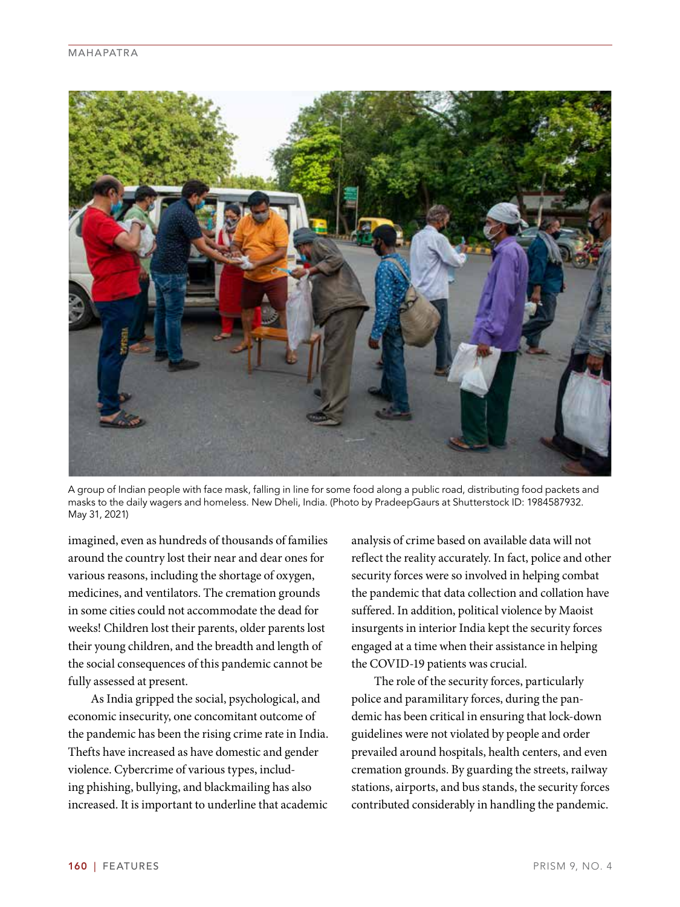

A group of Indian people with face mask, falling in line for some food along a public road, distributing food packets and masks to the daily wagers and homeless. New Dheli, India. (Photo by PradeepGaurs at Shutterstock ID: 1984587932. May 31, 2021)

imagined, even as hundreds of thousands of families around the country lost their near and dear ones for various reasons, including the shortage of oxygen, medicines, and ventilators. The cremation grounds in some cities could not accommodate the dead for weeks! Children lost their parents, older parents lost their young children, and the breadth and length of the social consequences of this pandemic cannot be fully assessed at present.

As India gripped the social, psychological, and economic insecurity, one concomitant outcome of the pandemic has been the rising crime rate in India. Thefts have increased as have domestic and gender violence. Cybercrime of various types, including phishing, bullying, and blackmailing has also increased. It is important to underline that academic analysis of crime based on available data will not reflect the reality accurately. In fact, police and other security forces were so involved in helping combat the pandemic that data collection and collation have suffered. In addition, political violence by Maoist insurgents in interior India kept the security forces engaged at a time when their assistance in helping the COVID-19 patients was crucial.

The role of the security forces, particularly police and paramilitary forces, during the pandemic has been critical in ensuring that lock-down guidelines were not violated by people and order prevailed around hospitals, health centers, and even cremation grounds. By guarding the streets, railway stations, airports, and bus stands, the security forces contributed considerably in handling the pandemic.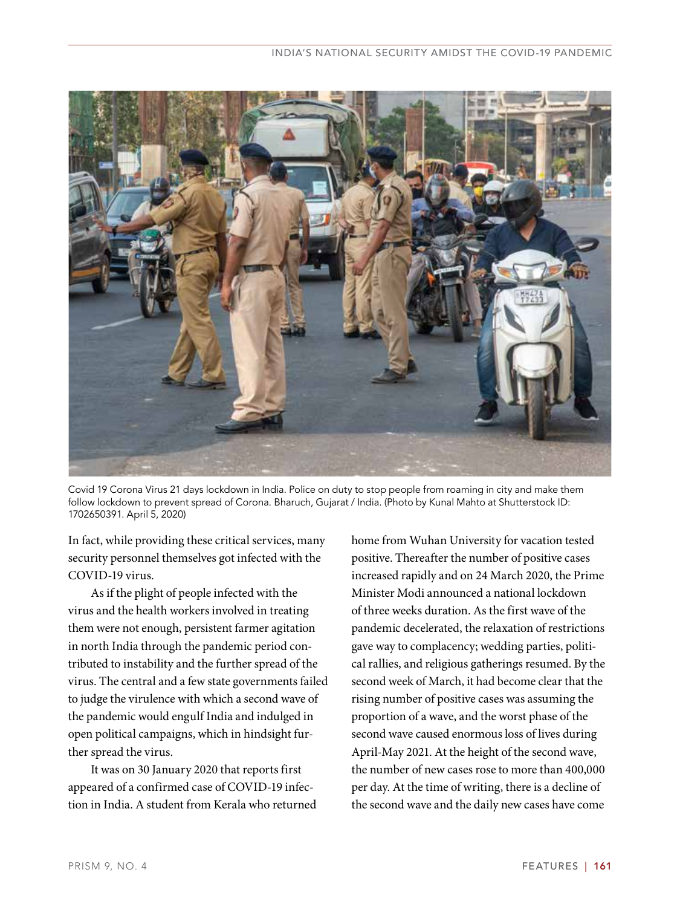

Covid 19 Corona Virus 21 days lockdown in India. Police on duty to stop people from roaming in city and make them follow lockdown to prevent spread of Corona. Bharuch, Gujarat / India. (Photo by Kunal Mahto at Shutterstock ID: 1702650391. April 5, 2020)

In fact, while providing these critical services, many security personnel themselves got infected with the COVID-19 virus.

As if the plight of people infected with the virus and the health workers involved in treating them were not enough, persistent farmer agitation in north India through the pandemic period contributed to instability and the further spread of the virus. The central and a few state governments failed to judge the virulence with which a second wave of the pandemic would engulf India and indulged in open political campaigns, which in hindsight further spread the virus.

It was on 30 January 2020 that reports first appeared of a confirmed case of COVID-19 infection in India. A student from Kerala who returned home from Wuhan University for vacation tested positive. Thereafter the number of positive cases increased rapidly and on 24 March 2020, the Prime Minister Modi announced a national lockdown of three weeks duration. As the first wave of the pandemic decelerated, the relaxation of restrictions gave way to complacency; wedding parties, political rallies, and religious gatherings resumed. By the second week of March, it had become clear that the rising number of positive cases was assuming the proportion of a wave, and the worst phase of the second wave caused enormous loss of lives during April-May 2021. At the height of the second wave, the number of new cases rose to more than 400,000 per day. At the time of writing, there is a decline of the second wave and the daily new cases have come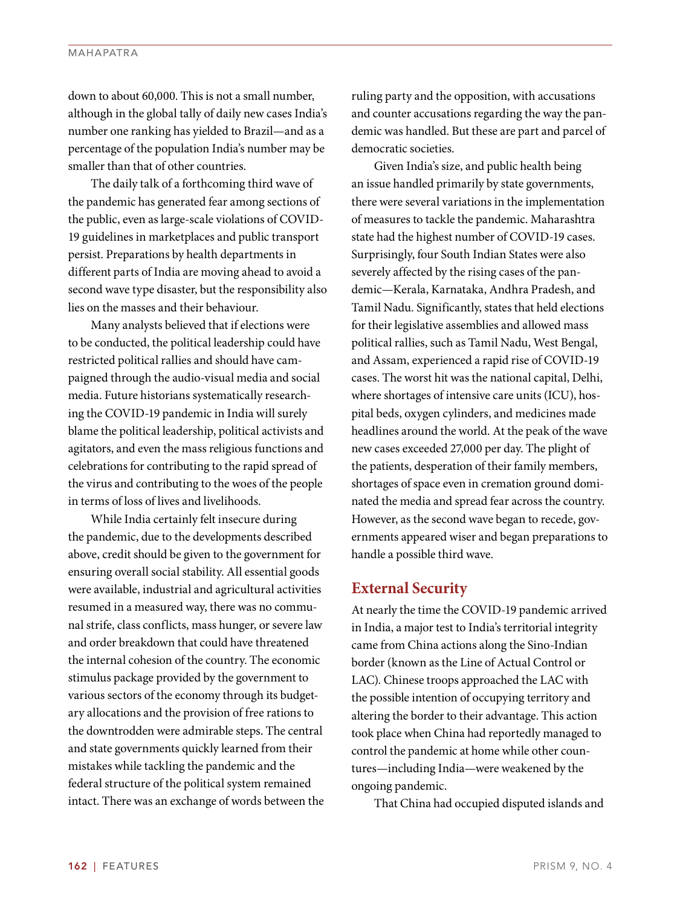#### MAHAPATRA

down to about 60,000. This is not a small number, although in the global tally of daily new cases India's number one ranking has yielded to Brazil—and as a percentage of the population India's number may be smaller than that of other countries.

The daily talk of a forthcoming third wave of the pandemic has generated fear among sections of the public, even as large-scale violations of COVID-19 guidelines in marketplaces and public transport persist. Preparations by health departments in different parts of India are moving ahead to avoid a second wave type disaster, but the responsibility also lies on the masses and their behaviour.

Many analysts believed that if elections were to be conducted, the political leadership could have restricted political rallies and should have campaigned through the audio-visual media and social media. Future historians systematically researching the COVID-19 pandemic in India will surely blame the political leadership, political activists and agitators, and even the mass religious functions and celebrations for contributing to the rapid spread of the virus and contributing to the woes of the people in terms of loss of lives and livelihoods.

While India certainly felt insecure during the pandemic, due to the developments described above, credit should be given to the government for ensuring overall social stability. All essential goods were available, industrial and agricultural activities resumed in a measured way, there was no communal strife, class conflicts, mass hunger, or severe law and order breakdown that could have threatened the internal cohesion of the country. The economic stimulus package provided by the government to various sectors of the economy through its budgetary allocations and the provision of free rations to the downtrodden were admirable steps. The central and state governments quickly learned from their mistakes while tackling the pandemic and the federal structure of the political system remained intact. There was an exchange of words between the ruling party and the opposition, with accusations and counter accusations regarding the way the pandemic was handled. But these are part and parcel of democratic societies.

Given India's size, and public health being an issue handled primarily by state governments, there were several variations in the implementation of measures to tackle the pandemic. Maharashtra state had the highest number of COVID-19 cases. Surprisingly, four South Indian States were also severely affected by the rising cases of the pandemic—Kerala, Karnataka, Andhra Pradesh, and Tamil Nadu. Significantly, states that held elections for their legislative assemblies and allowed mass political rallies, such as Tamil Nadu, West Bengal, and Assam, experienced a rapid rise of COVID-19 cases. The worst hit was the national capital, Delhi, where shortages of intensive care units (ICU), hospital beds, oxygen cylinders, and medicines made headlines around the world. At the peak of the wave new cases exceeded 27,000 per day. The plight of the patients, desperation of their family members, shortages of space even in cremation ground dominated the media and spread fear across the country. However, as the second wave began to recede, governments appeared wiser and began preparations to handle a possible third wave.

## **External Security**

At nearly the time the COVID-19 pandemic arrived in India, a major test to India's territorial integrity came from China actions along the Sino-Indian border (known as the Line of Actual Control or LAC). Chinese troops approached the LAC with the possible intention of occupying territory and altering the border to their advantage. This action took place when China had reportedly managed to control the pandemic at home while other countures—including India—were weakened by the ongoing pandemic.

That China had occupied disputed islands and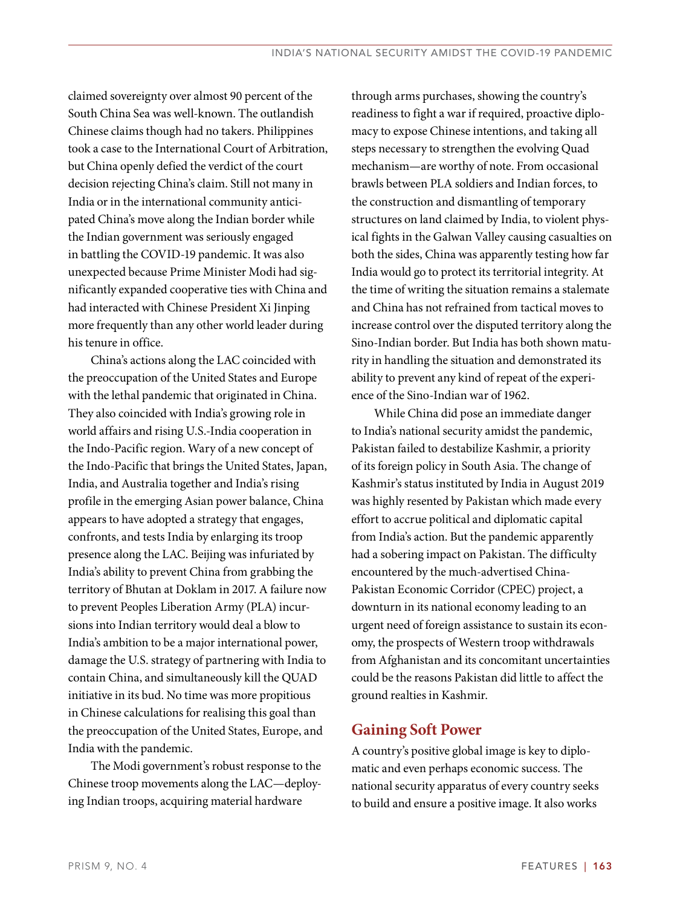claimed sovereignty over almost 90 percent of the South China Sea was well-known. The outlandish Chinese claims though had no takers. Philippines took a case to the International Court of Arbitration, but China openly defied the verdict of the court decision rejecting China's claim. Still not many in India or in the international community anticipated China's move along the Indian border while the Indian government was seriously engaged in battling the COVID-19 pandemic. It was also unexpected because Prime Minister Modi had significantly expanded cooperative ties with China and had interacted with Chinese President Xi Jinping more frequently than any other world leader during his tenure in office.

China's actions along the LAC coincided with the preoccupation of the United States and Europe with the lethal pandemic that originated in China. They also coincided with India's growing role in world affairs and rising U.S.-India cooperation in the Indo-Pacific region. Wary of a new concept of the Indo-Pacific that brings the United States, Japan, India, and Australia together and India's rising profile in the emerging Asian power balance, China appears to have adopted a strategy that engages, confronts, and tests India by enlarging its troop presence along the LAC. Beijing was infuriated by India's ability to prevent China from grabbing the territory of Bhutan at Doklam in 2017. A failure now to prevent Peoples Liberation Army (PLA) incursions into Indian territory would deal a blow to India's ambition to be a major international power, damage the U.S. strategy of partnering with India to contain China, and simultaneously kill the QUAD initiative in its bud. No time was more propitious in Chinese calculations for realising this goal than the preoccupation of the United States, Europe, and India with the pandemic.

The Modi government's robust response to the Chinese troop movements along the LAC—deploying Indian troops, acquiring material hardware

through arms purchases, showing the country's readiness to fight a war if required, proactive diplomacy to expose Chinese intentions, and taking all steps necessary to strengthen the evolving Quad mechanism—are worthy of note. From occasional brawls between PLA soldiers and Indian forces, to the construction and dismantling of temporary structures on land claimed by India, to violent physical fights in the Galwan Valley causing casualties on both the sides, China was apparently testing how far India would go to protect its territorial integrity. At the time of writing the situation remains a stalemate and China has not refrained from tactical moves to increase control over the disputed territory along the Sino-Indian border. But India has both shown maturity in handling the situation and demonstrated its ability to prevent any kind of repeat of the experience of the Sino-Indian war of 1962.

While China did pose an immediate danger to India's national security amidst the pandemic, Pakistan failed to destabilize Kashmir, a priority of its foreign policy in South Asia. The change of Kashmir's status instituted by India in August 2019 was highly resented by Pakistan which made every effort to accrue political and diplomatic capital from India's action. But the pandemic apparently had a sobering impact on Pakistan. The difficulty encountered by the much-advertised China-Pakistan Economic Corridor (CPEC) project, a downturn in its national economy leading to an urgent need of foreign assistance to sustain its economy, the prospects of Western troop withdrawals from Afghanistan and its concomitant uncertainties could be the reasons Pakistan did little to affect the ground realties in Kashmir.

# **Gaining Soft Power**

A country's positive global image is key to diplomatic and even perhaps economic success. The national security apparatus of every country seeks to build and ensure a positive image. It also works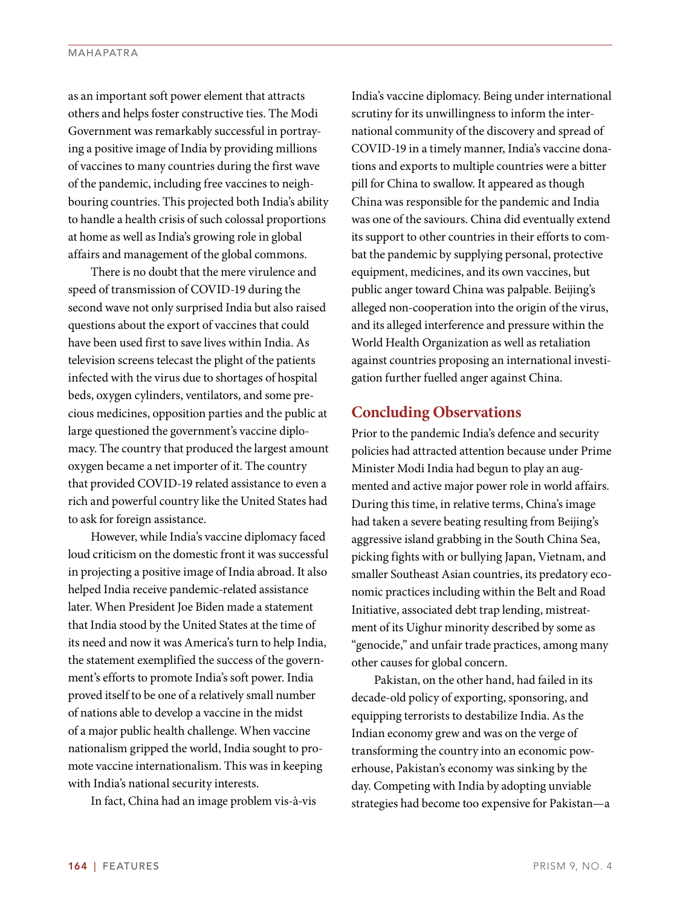as an important soft power element that attracts others and helps foster constructive ties. The Modi Government was remarkably successful in portraying a positive image of India by providing millions of vaccines to many countries during the first wave of the pandemic, including free vaccines to neighbouring countries. This projected both India's ability to handle a health crisis of such colossal proportions at home as well as India's growing role in global affairs and management of the global commons.

There is no doubt that the mere virulence and speed of transmission of COVID-19 during the second wave not only surprised India but also raised questions about the export of vaccines that could have been used first to save lives within India. As television screens telecast the plight of the patients infected with the virus due to shortages of hospital beds, oxygen cylinders, ventilators, and some precious medicines, opposition parties and the public at large questioned the government's vaccine diplomacy. The country that produced the largest amount oxygen became a net importer of it. The country that provided COVID-19 related assistance to even a rich and powerful country like the United States had to ask for foreign assistance.

However, while India's vaccine diplomacy faced loud criticism on the domestic front it was successful in projecting a positive image of India abroad. It also helped India receive pandemic-related assistance later. When President Joe Biden made a statement that India stood by the United States at the time of its need and now it was America's turn to help India, the statement exemplified the success of the government's efforts to promote India's soft power. India proved itself to be one of a relatively small number of nations able to develop a vaccine in the midst of a major public health challenge. When vaccine nationalism gripped the world, India sought to promote vaccine internationalism. This was in keeping with India's national security interests.

In fact, China had an image problem vis-à-vis

India's vaccine diplomacy. Being under international scrutiny for its unwillingness to inform the international community of the discovery and spread of COVID-19 in a timely manner, India's vaccine donations and exports to multiple countries were a bitter pill for China to swallow. It appeared as though China was responsible for the pandemic and India was one of the saviours. China did eventually extend its support to other countries in their efforts to combat the pandemic by supplying personal, protective equipment, medicines, and its own vaccines, but public anger toward China was palpable. Beijing's alleged non-cooperation into the origin of the virus, and its alleged interference and pressure within the World Health Organization as well as retaliation against countries proposing an international investigation further fuelled anger against China.

## **Concluding Observations**

Prior to the pandemic India's defence and security policies had attracted attention because under Prime Minister Modi India had begun to play an augmented and active major power role in world affairs. During this time, in relative terms, China's image had taken a severe beating resulting from Beijing's aggressive island grabbing in the South China Sea, picking fights with or bullying Japan, Vietnam, and smaller Southeast Asian countries, its predatory economic practices including within the Belt and Road Initiative, associated debt trap lending, mistreatment of its Uighur minority described by some as "genocide," and unfair trade practices, among many other causes for global concern.

Pakistan, on the other hand, had failed in its decade-old policy of exporting, sponsoring, and equipping terrorists to destabilize India. As the Indian economy grew and was on the verge of transforming the country into an economic powerhouse, Pakistan's economy was sinking by the day. Competing with India by adopting unviable strategies had become too expensive for Pakistan—a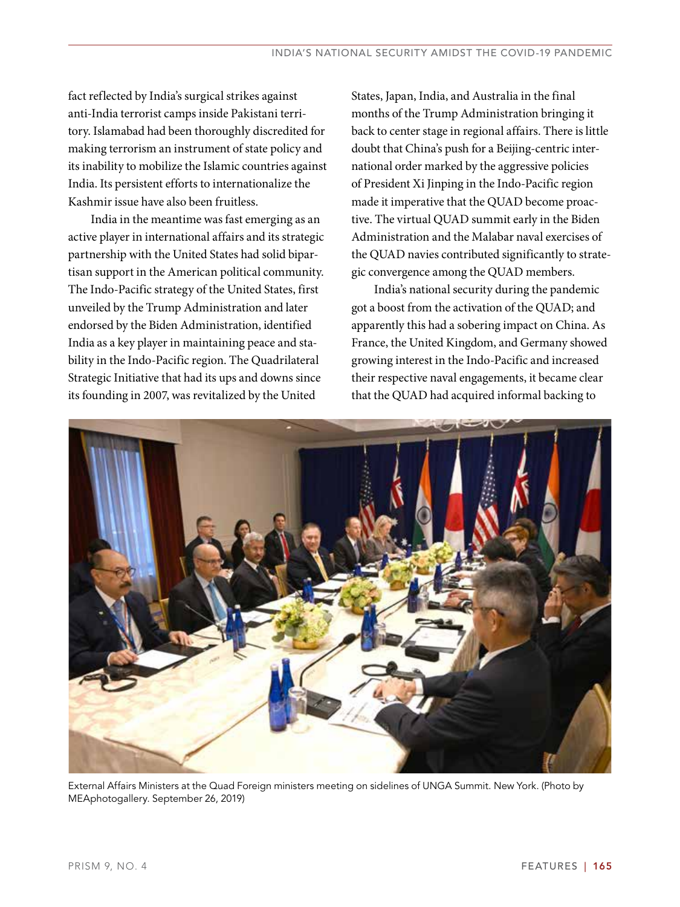fact reflected by India's surgical strikes against anti-India terrorist camps inside Pakistani territory. Islamabad had been thoroughly discredited for making terrorism an instrument of state policy and its inability to mobilize the Islamic countries against India. Its persistent efforts to internationalize the Kashmir issue have also been fruitless.

India in the meantime was fast emerging as an active player in international affairs and its strategic partnership with the United States had solid bipartisan support in the American political community. The Indo-Pacific strategy of the United States, first unveiled by the Trump Administration and later endorsed by the Biden Administration, identified India as a key player in maintaining peace and stability in the Indo-Pacific region. The Quadrilateral Strategic Initiative that had its ups and downs since its founding in 2007, was revitalized by the United

States, Japan, India, and Australia in the final months of the Trump Administration bringing it back to center stage in regional affairs. There is little doubt that China's push for a Beijing-centric international order marked by the aggressive policies of President Xi Jinping in the Indo-Pacific region made it imperative that the QUAD become proactive. The virtual QUAD summit early in the Biden Administration and the Malabar naval exercises of the QUAD navies contributed significantly to strategic convergence among the QUAD members.

India's national security during the pandemic got a boost from the activation of the QUAD; and apparently this had a sobering impact on China. As France, the United Kingdom, and Germany showed growing interest in the Indo-Pacific and increased their respective naval engagements, it became clear that the QUAD had acquired informal backing to



External Affairs Ministers at the Quad Foreign ministers meeting on sidelines of UNGA Summit. New York. (Photo by MEAphotogallery. September 26, 2019)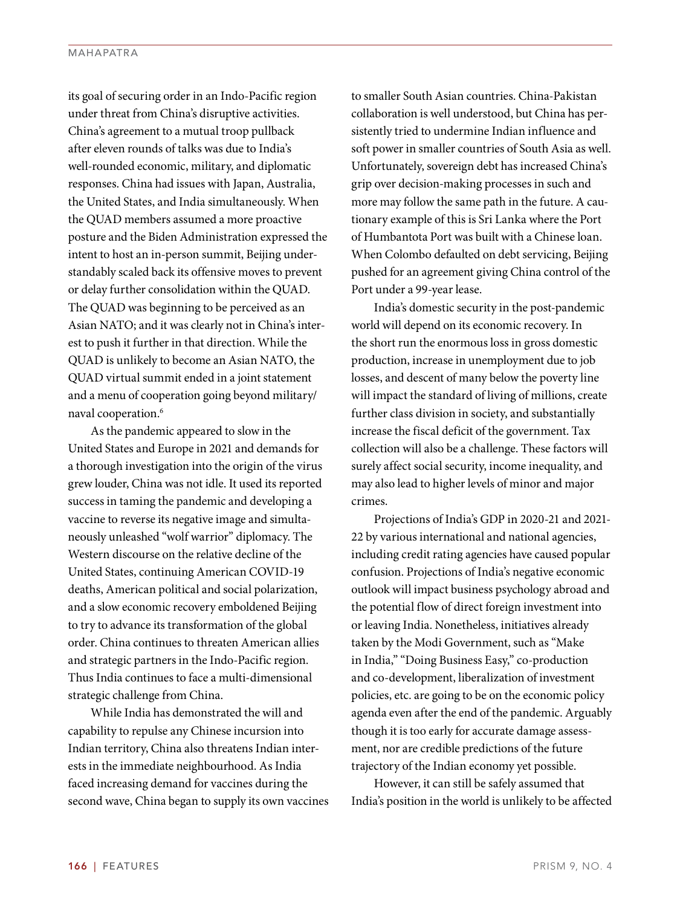its goal of securing order in an Indo-Pacific region under threat from China's disruptive activities. China's agreement to a mutual troop pullback after eleven rounds of talks was due to India's well-rounded economic, military, and diplomatic responses. China had issues with Japan, Australia, the United States, and India simultaneously. When the QUAD members assumed a more proactive posture and the Biden Administration expressed the intent to host an in-person summit, Beijing understandably scaled back its offensive moves to prevent or delay further consolidation within the QUAD. The QUAD was beginning to be perceived as an Asian NATO; and it was clearly not in China's interest to push it further in that direction. While the QUAD is unlikely to become an Asian NATO, the QUAD virtual summit ended in a joint statement and a menu of cooperation going beyond military/ naval cooperation.6

As the pandemic appeared to slow in the United States and Europe in 2021 and demands for a thorough investigation into the origin of the virus grew louder, China was not idle. It used its reported success in taming the pandemic and developing a vaccine to reverse its negative image and simultaneously unleashed "wolf warrior" diplomacy. The Western discourse on the relative decline of the United States, continuing American COVID-19 deaths, American political and social polarization, and a slow economic recovery emboldened Beijing to try to advance its transformation of the global order. China continues to threaten American allies and strategic partners in the Indo-Pacific region. Thus India continues to face a multi-dimensional strategic challenge from China.

While India has demonstrated the will and capability to repulse any Chinese incursion into Indian territory, China also threatens Indian interests in the immediate neighbourhood. As India faced increasing demand for vaccines during the second wave, China began to supply its own vaccines to smaller South Asian countries. China-Pakistan collaboration is well understood, but China has persistently tried to undermine Indian influence and soft power in smaller countries of South Asia as well. Unfortunately, sovereign debt has increased China's grip over decision-making processes in such and more may follow the same path in the future. A cautionary example of this is Sri Lanka where the Port of Humbantota Port was built with a Chinese loan. When Colombo defaulted on debt servicing, Beijing pushed for an agreement giving China control of the Port under a 99-year lease.

India's domestic security in the post-pandemic world will depend on its economic recovery. In the short run the enormous loss in gross domestic production, increase in unemployment due to job losses, and descent of many below the poverty line will impact the standard of living of millions, create further class division in society, and substantially increase the fiscal deficit of the government. Tax collection will also be a challenge. These factors will surely affect social security, income inequality, and may also lead to higher levels of minor and major crimes.

Projections of India's GDP in 2020-21 and 2021- 22 by various international and national agencies, including credit rating agencies have caused popular confusion. Projections of India's negative economic outlook will impact business psychology abroad and the potential flow of direct foreign investment into or leaving India. Nonetheless, initiatives already taken by the Modi Government, such as "Make in India," "Doing Business Easy," co-production and co-development, liberalization of investment policies, etc. are going to be on the economic policy agenda even after the end of the pandemic. Arguably though it is too early for accurate damage assessment, nor are credible predictions of the future trajectory of the Indian economy yet possible.

However, it can still be safely assumed that India's position in the world is unlikely to be affected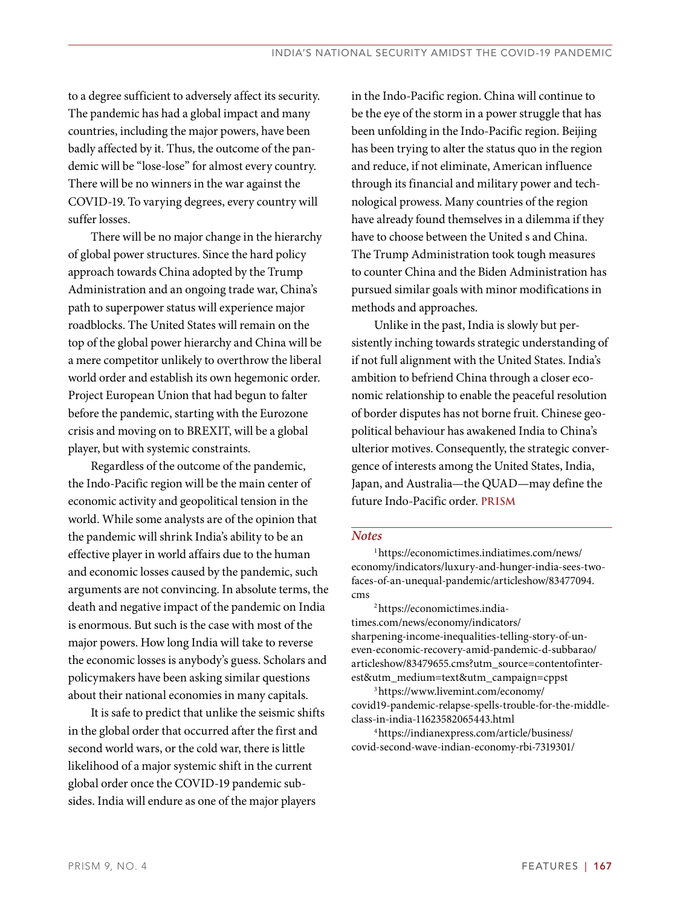to a degree sufficient to adversely affect its security. The pandemic has had a global impact and many countries, including the major powers, have been badly affected by it. Thus, the outcome of the pandemic will be "lose-lose" for almost every country. There will be no winners in the war against the COVID-19. To varying degrees, every country will suffer losses.

There will be no major change in the hierarchy of global power structures. Since the hard policy approach towards China adopted by the Trump Administration and an ongoing trade war, China's path to superpower status will experience major roadblocks. The United States will remain on the top of the global power hierarchy and China will be a mere competitor unlikely to overthrow the liberal world order and establish its own hegemonic order. Project European Union that had begun to falter before the pandemic, starting with the Eurozone crisis and moving on to BREXIT, will be a global player, but with systemic constraints.

Regardless of the outcome of the pandemic, the Indo-Pacific region will be the main center of economic activity and geopolitical tension in the world. While some analysts are of the opinion that the pandemic will shrink India's ability to be an effective player in world affairs due to the human and economic losses caused by the pandemic, such arguments are not convincing. In absolute terms, the death and negative impact of the pandemic on India is enormous. But such is the case with most of the major powers. How long India will take to reverse the economic losses is anybody's guess. Scholars and policymakers have been asking similar questions about their national economies in many capitals.

It is safe to predict that unlike the seismic shifts in the global order that occurred after the first and second world wars, or the cold war, there is little likelihood of a major systemic shift in the current global order once the COVID-19 pandemic subsides. India will endure as one of the major players

in the Indo-Pacific region. China will continue to be the eye of the storm in a power struggle that has been unfolding in the Indo-Pacific region. Beijing has been trying to alter the status quo in the region and reduce, if not eliminate, American influence through its financial and military power and technological prowess. Many countries of the region have already found themselves in a dilemma if they have to choose between the United s and China. The Trump Administration took tough measures to counter China and the Biden Administration has pursued similar goals with minor modifications in methods and approaches.

Unlike in the past, India is slowly but persistently inching towards strategic understanding of if not full alignment with the United States. India's ambition to befriend China through a closer economic relationship to enable the peaceful resolution of border disputes has not borne fruit. Chinese geopolitical behaviour has awakened India to China's ulterior motives. Consequently, the strategic convergence of interests among the United States, India, Japan, and Australia—the QUAD—may define the future Indo-Pacific order. **PRISM**

## *Notes*

1 https://economictimes.indiatimes.com/news/ economy/indicators/luxury-and-hunger-india-sees-twofaces-of-an-unequal-pandemic/articleshow/83477094. cms

2 https://economictimes.indiatimes.com/news/economy/indicators/ sharpening-income-inequalities-telling-story-of-uneven-economic-recovery-amid-pandemic-d-subbarao/ articleshow/83479655.cms?utm\_source=contentofinterest&utm\_medium=text&utm\_campaign=cppst

3 https://www.livemint.com/economy/ covid19-pandemic-relapse-spells-trouble-for-the-middleclass-in-india-11623582065443.html

4 https://indianexpress.com/article/business/ covid-second-wave-indian-economy-rbi-7319301/